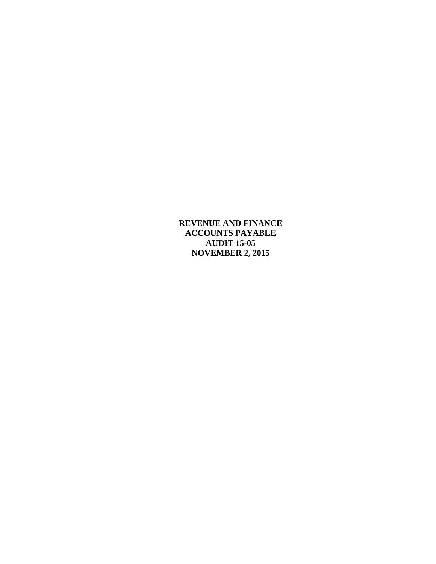**REVENUE AND FINANCE ACCOUNTS PAYABLE AUDIT 15-05 NOVEMBER 2, 2015**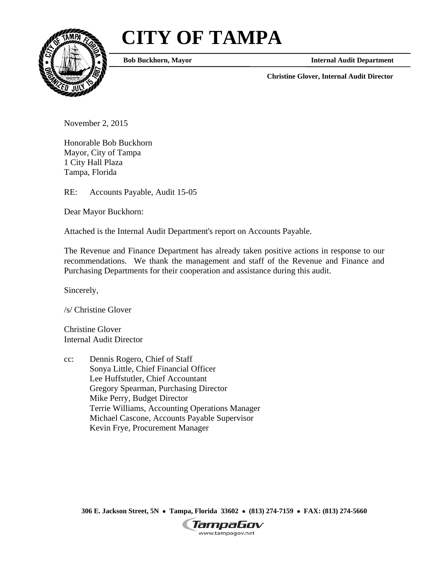# **CITY OF TAMPA**



**Bob Buckhorn, Mayor Internal Audit Department** 

**Christine Glover, Internal Audit Director** 

November 2, 2015

Honorable Bob Buckhorn Mayor, City of Tampa 1 City Hall Plaza Tampa, Florida

RE: Accounts Payable, Audit 15-05

Dear Mayor Buckhorn:

Attached is the Internal Audit Department's report on Accounts Payable.

The Revenue and Finance Department has already taken positive actions in response to our recommendations. We thank the management and staff of the Revenue and Finance and Purchasing Departments for their cooperation and assistance during this audit.

Sincerely,

/s/ Christine Glover

Christine Glover Internal Audit Director

cc: Dennis Rogero, Chief of Staff Sonya Little, Chief Financial Officer Lee Huffstutler, Chief Accountant Gregory Spearman, Purchasing Director Mike Perry, Budget Director Terrie Williams, Accounting Operations Manager Michael Cascone, Accounts Payable Supervisor Kevin Frye, Procurement Manager

 **306 E. Jackson Street, 5N Tampa, Florida 33602 (813) 274-7159 FAX: (813) 274-5660** 

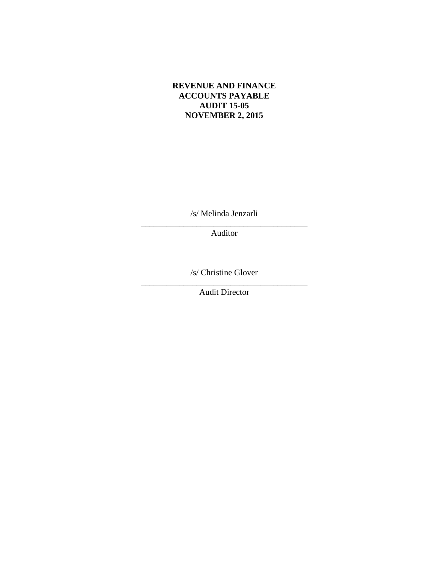#### **REVENUE AND FINANCE ACCOUNTS PAYABLE AUDIT 15-05 NOVEMBER 2, 2015**

/s/ Melinda Jenzarli

\_\_\_\_\_\_\_\_\_\_\_\_\_\_\_\_\_\_\_\_\_\_\_\_\_\_\_\_\_\_\_\_\_\_\_\_\_\_\_ Auditor

\_\_\_\_\_\_\_\_\_\_\_\_\_\_\_\_\_\_\_\_\_\_\_\_\_\_\_\_\_\_\_\_\_\_\_\_\_\_\_ /s/ Christine Glover

Audit Director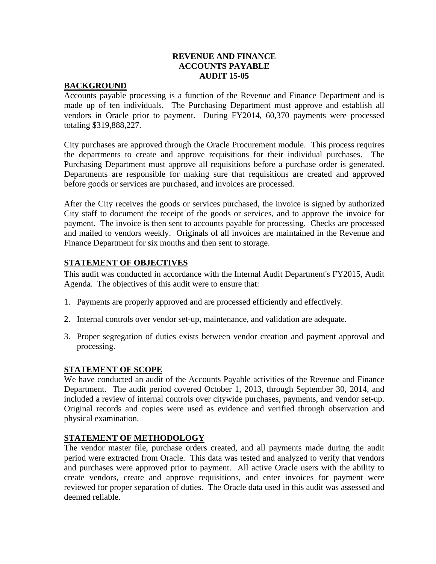# **REVENUE AND FINANCE ACCOUNTS PAYABLE AUDIT 15-05**

#### **BACKGROUND**

Accounts payable processing is a function of the Revenue and Finance Department and is made up of ten individuals. The Purchasing Department must approve and establish all vendors in Oracle prior to payment. During FY2014, 60,370 payments were processed totaling \$319,888,227.

City purchases are approved through the Oracle Procurement module. This process requires the departments to create and approve requisitions for their individual purchases. The Purchasing Department must approve all requisitions before a purchase order is generated. Departments are responsible for making sure that requisitions are created and approved before goods or services are purchased, and invoices are processed.

After the City receives the goods or services purchased, the invoice is signed by authorized City staff to document the receipt of the goods or services, and to approve the invoice for payment. The invoice is then sent to accounts payable for processing. Checks are processed and mailed to vendors weekly. Originals of all invoices are maintained in the Revenue and Finance Department for six months and then sent to storage.

## **STATEMENT OF OBJECTIVES**

This audit was conducted in accordance with the Internal Audit Department's FY2015, Audit Agenda. The objectives of this audit were to ensure that:

- 1. Payments are properly approved and are processed efficiently and effectively.
- 2. Internal controls over vendor set-up, maintenance, and validation are adequate.
- 3. Proper segregation of duties exists between vendor creation and payment approval and processing.

#### **STATEMENT OF SCOPE**

We have conducted an audit of the Accounts Payable activities of the Revenue and Finance Department. The audit period covered October 1, 2013, through September 30, 2014, and included a review of internal controls over citywide purchases, payments, and vendor set-up. Original records and copies were used as evidence and verified through observation and physical examination.

## **STATEMENT OF METHODOLOGY**

The vendor master file, purchase orders created, and all payments made during the audit period were extracted from Oracle. This data was tested and analyzed to verify that vendors and purchases were approved prior to payment. All active Oracle users with the ability to create vendors, create and approve requisitions, and enter invoices for payment were reviewed for proper separation of duties. The Oracle data used in this audit was assessed and deemed reliable.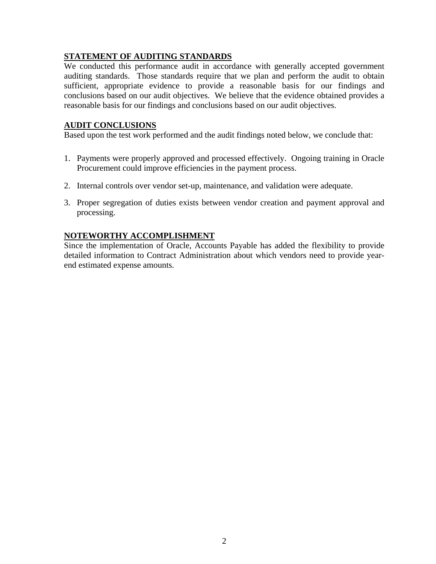## **STATEMENT OF AUDITING STANDARDS**

We conducted this performance audit in accordance with generally accepted government auditing standards. Those standards require that we plan and perform the audit to obtain sufficient, appropriate evidence to provide a reasonable basis for our findings and conclusions based on our audit objectives. We believe that the evidence obtained provides a reasonable basis for our findings and conclusions based on our audit objectives.

# **AUDIT CONCLUSIONS**

Based upon the test work performed and the audit findings noted below, we conclude that:

- 1. Payments were properly approved and processed effectively. Ongoing training in Oracle Procurement could improve efficiencies in the payment process.
- 2. Internal controls over vendor set-up, maintenance, and validation were adequate.
- 3. Proper segregation of duties exists between vendor creation and payment approval and processing.

# **NOTEWORTHY ACCOMPLISHMENT**

Since the implementation of Oracle, Accounts Payable has added the flexibility to provide detailed information to Contract Administration about which vendors need to provide yearend estimated expense amounts.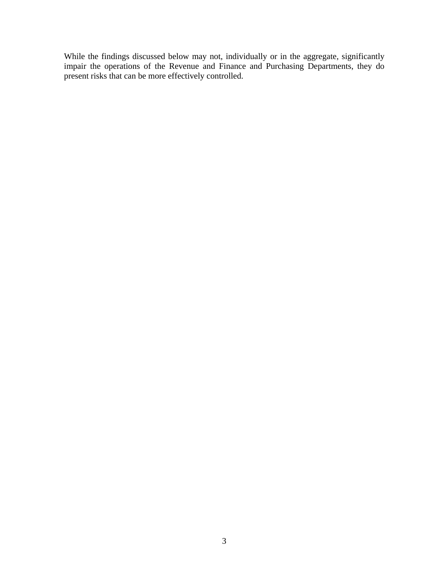While the findings discussed below may not, individually or in the aggregate, significantly impair the operations of the Revenue and Finance and Purchasing Departments, they do present risks that can be more effectively controlled.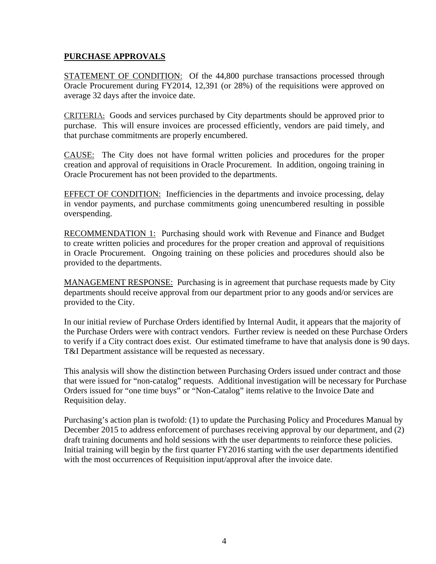#### **PURCHASE APPROVALS**

STATEMENT OF CONDITION: Of the 44,800 purchase transactions processed through Oracle Procurement during FY2014, 12,391 (or 28%) of the requisitions were approved on average 32 days after the invoice date.

CRITERIA: Goods and services purchased by City departments should be approved prior to purchase. This will ensure invoices are processed efficiently, vendors are paid timely, and that purchase commitments are properly encumbered.

CAUSE: The City does not have formal written policies and procedures for the proper creation and approval of requisitions in Oracle Procurement. In addition, ongoing training in Oracle Procurement has not been provided to the departments.

EFFECT OF CONDITION: Inefficiencies in the departments and invoice processing, delay in vendor payments, and purchase commitments going unencumbered resulting in possible overspending.

RECOMMENDATION 1: Purchasing should work with Revenue and Finance and Budget to create written policies and procedures for the proper creation and approval of requisitions in Oracle Procurement. Ongoing training on these policies and procedures should also be provided to the departments.

MANAGEMENT RESPONSE: Purchasing is in agreement that purchase requests made by City departments should receive approval from our department prior to any goods and/or services are provided to the City.

In our initial review of Purchase Orders identified by Internal Audit, it appears that the majority of the Purchase Orders were with contract vendors. Further review is needed on these Purchase Orders to verify if a City contract does exist. Our estimated timeframe to have that analysis done is 90 days. T&I Department assistance will be requested as necessary.

This analysis will show the distinction between Purchasing Orders issued under contract and those that were issued for "non-catalog" requests. Additional investigation will be necessary for Purchase Orders issued for "one time buys" or "Non-Catalog" items relative to the Invoice Date and Requisition delay.

Purchasing's action plan is twofold: (1) to update the Purchasing Policy and Procedures Manual by December 2015 to address enforcement of purchases receiving approval by our department, and (2) draft training documents and hold sessions with the user departments to reinforce these policies. Initial training will begin by the first quarter FY2016 starting with the user departments identified with the most occurrences of Requisition input/approval after the invoice date.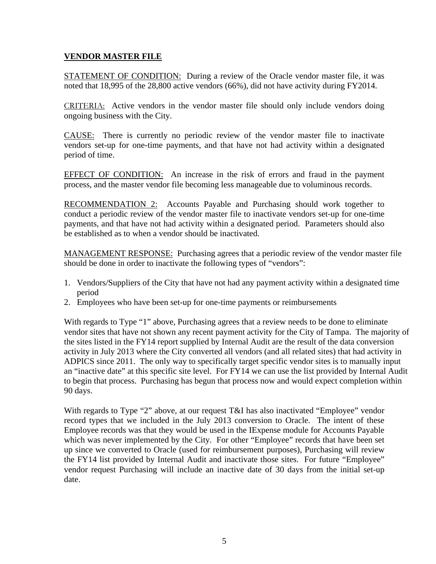## **VENDOR MASTER FILE**

STATEMENT OF CONDITION: During a review of the Oracle vendor master file, it was noted that 18,995 of the 28,800 active vendors (66%), did not have activity during FY2014.

CRITERIA: Active vendors in the vendor master file should only include vendors doing ongoing business with the City.

CAUSE: There is currently no periodic review of the vendor master file to inactivate vendors set-up for one-time payments, and that have not had activity within a designated period of time.

EFFECT OF CONDITION: An increase in the risk of errors and fraud in the payment process, and the master vendor file becoming less manageable due to voluminous records.

RECOMMENDATION 2: Accounts Payable and Purchasing should work together to conduct a periodic review of the vendor master file to inactivate vendors set-up for one-time payments, and that have not had activity within a designated period. Parameters should also be established as to when a vendor should be inactivated.

MANAGEMENT RESPONSE: Purchasing agrees that a periodic review of the vendor master file should be done in order to inactivate the following types of "vendors":

- 1. Vendors/Suppliers of the City that have not had any payment activity within a designated time period
- 2. Employees who have been set-up for one-time payments or reimbursements

With regards to Type "1" above, Purchasing agrees that a review needs to be done to eliminate vendor sites that have not shown any recent payment activity for the City of Tampa. The majority of the sites listed in the FY14 report supplied by Internal Audit are the result of the data conversion activity in July 2013 where the City converted all vendors (and all related sites) that had activity in ADPICS since 2011. The only way to specifically target specific vendor sites is to manually input an "inactive date" at this specific site level. For FY14 we can use the list provided by Internal Audit to begin that process. Purchasing has begun that process now and would expect completion within 90 days.

With regards to Type "2" above, at our request T&I has also inactivated "Employee" vendor record types that we included in the July 2013 conversion to Oracle. The intent of these Employee records was that they would be used in the IExpense module for Accounts Payable which was never implemented by the City. For other "Employee" records that have been set up since we converted to Oracle (used for reimbursement purposes), Purchasing will review the FY14 list provided by Internal Audit and inactivate those sites. For future "Employee" vendor request Purchasing will include an inactive date of 30 days from the initial set-up date.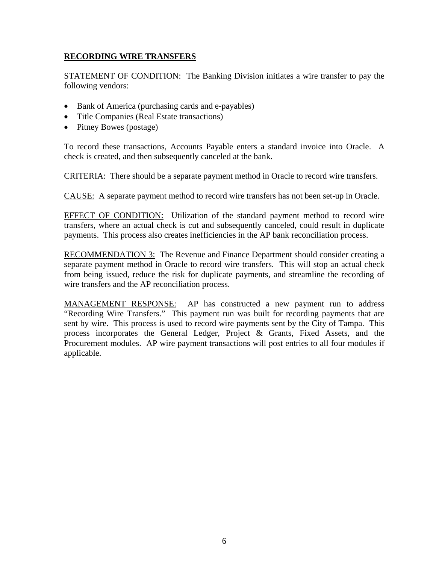# **RECORDING WIRE TRANSFERS**

STATEMENT OF CONDITION: The Banking Division initiates a wire transfer to pay the following vendors:

- Bank of America (purchasing cards and e-payables)
- Title Companies (Real Estate transactions)
- Pitney Bowes (postage)

To record these transactions, Accounts Payable enters a standard invoice into Oracle. A check is created, and then subsequently canceled at the bank.

CRITERIA: There should be a separate payment method in Oracle to record wire transfers.

CAUSE: A separate payment method to record wire transfers has not been set-up in Oracle.

EFFECT OF CONDITION: Utilization of the standard payment method to record wire transfers, where an actual check is cut and subsequently canceled, could result in duplicate payments. This process also creates inefficiencies in the AP bank reconciliation process.

RECOMMENDATION 3: The Revenue and Finance Department should consider creating a separate payment method in Oracle to record wire transfers. This will stop an actual check from being issued, reduce the risk for duplicate payments, and streamline the recording of wire transfers and the AP reconciliation process.

MANAGEMENT RESPONSE: AP has constructed a new payment run to address "Recording Wire Transfers." This payment run was built for recording payments that are sent by wire. This process is used to record wire payments sent by the City of Tampa. This process incorporates the General Ledger, Project & Grants, Fixed Assets, and the Procurement modules. AP wire payment transactions will post entries to all four modules if applicable.